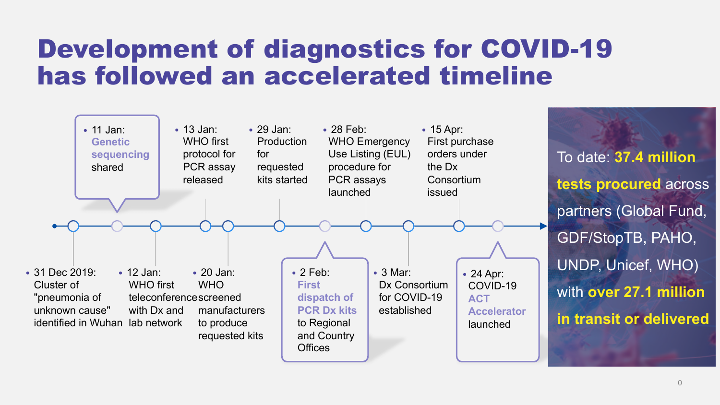## Development of diagnostics for COVID-19 has followed an accelerated timeline

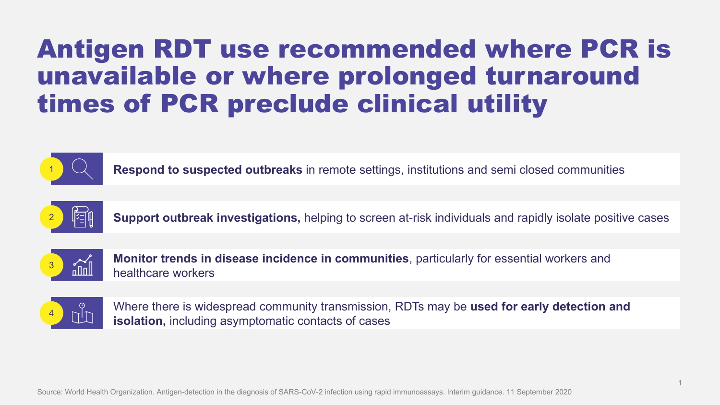## Antigen RDT use recommended where PCR is unavailable or where prolonged turnaround times of PCR preclude clinical utility



1 **Respond to suspected outbreaks** in remote settings, institutions and semi closed communities



2 **Support outbreak investigations,** helping to screen at-risk individuals and rapidly isolate positive cases



**Monitor trends in disease incidence in communities**, particularly for essential workers and  $\frac{3}{\text{min}}$  healthcare workers



Where there is widespread community transmission, RDTs may be **used for early detection and isolation, including asymptomatic contacts of cases**